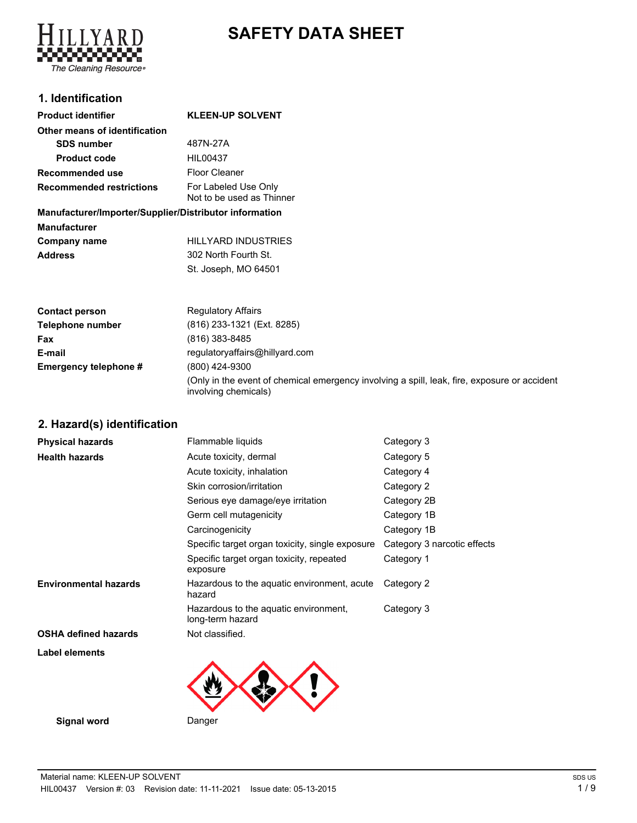

# **SAFETY DATA SHEET**

# **1. Identification**

#### **Product identifier KLEEN-UP SOLVENT Other means of identification SDS number** 487N-27A **Product code** HIL00437 **Recommended use** Floor Cleaner For Labeled Use Only Not to be used as Thinner **Recommended restrictions**

# **Manufacturer/Importer/Supplier/Distributor information**

| <b>Manufacturer</b> |                      |
|---------------------|----------------------|
| Company name        | HILLYARD INDUSTRIES  |
| <b>Address</b>      | 302 North Fourth St. |
|                     | St. Joseph, MO 64501 |

| <b>Contact person</b> | <b>Regulatory Affairs</b>                                                                                            |
|-----------------------|----------------------------------------------------------------------------------------------------------------------|
| Telephone number      | (816) 233-1321 (Ext. 8285)                                                                                           |
| Fax                   | (816) 383-8485                                                                                                       |
| E-mail                | regulatoryaffairs@hillyard.com                                                                                       |
| Emergency telephone # | (800) 424-9300                                                                                                       |
|                       | (Only in the event of chemical emergency involving a spill, leak, fire, exposure or accident<br>involving chemicals) |

**2. Hazard(s) identification**

| <b>Physical hazards</b>      | Flammable liquids                                         | Category 3                  |
|------------------------------|-----------------------------------------------------------|-----------------------------|
| <b>Health hazards</b>        | Acute toxicity, dermal                                    | Category 5                  |
|                              | Acute toxicity, inhalation                                | Category 4                  |
|                              | Skin corrosion/irritation                                 | Category 2                  |
|                              | Serious eye damage/eye irritation                         | Category 2B                 |
|                              | Germ cell mutagenicity                                    | Category 1B                 |
|                              | Carcinogenicity                                           | Category 1B                 |
|                              | Specific target organ toxicity, single exposure           | Category 3 narcotic effects |
|                              | Specific target organ toxicity, repeated<br>exposure      | Category 1                  |
| <b>Environmental hazards</b> | Hazardous to the aquatic environment, acute<br>hazard     | Category 2                  |
|                              | Hazardous to the aquatic environment,<br>long-term hazard | Category 3                  |
| <b>OSHA defined hazards</b>  | Not classified.                                           |                             |
| Label elements               |                                                           |                             |
|                              |                                                           |                             |
| Signal word                  | Danger                                                    |                             |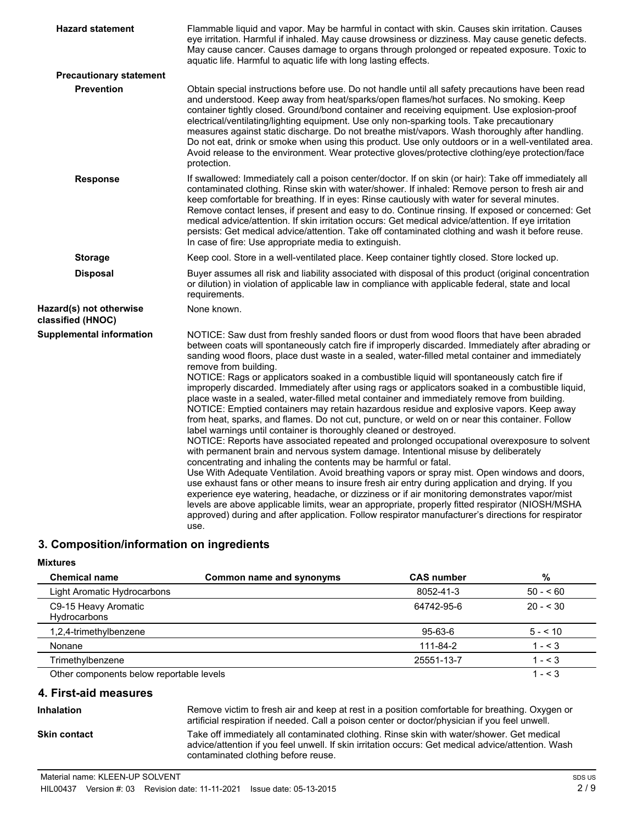| <b>Hazard statement</b>                      | Flammable liquid and vapor. May be harmful in contact with skin. Causes skin irritation. Causes<br>eye irritation. Harmful if inhaled. May cause drowsiness or dizziness. May cause genetic defects.<br>May cause cancer. Causes damage to organs through prolonged or repeated exposure. Toxic to<br>aquatic life. Harmful to aquatic life with long lasting effects.                                                                                                                                                                                                                                                                                                                                                                                                                                                                                                                                                                                                                                                                                                                                                                                                                                                                                                                                                                                                                                                                                                                                                                                                                                                                                                           |
|----------------------------------------------|----------------------------------------------------------------------------------------------------------------------------------------------------------------------------------------------------------------------------------------------------------------------------------------------------------------------------------------------------------------------------------------------------------------------------------------------------------------------------------------------------------------------------------------------------------------------------------------------------------------------------------------------------------------------------------------------------------------------------------------------------------------------------------------------------------------------------------------------------------------------------------------------------------------------------------------------------------------------------------------------------------------------------------------------------------------------------------------------------------------------------------------------------------------------------------------------------------------------------------------------------------------------------------------------------------------------------------------------------------------------------------------------------------------------------------------------------------------------------------------------------------------------------------------------------------------------------------------------------------------------------------------------------------------------------------|
| <b>Precautionary statement</b>               |                                                                                                                                                                                                                                                                                                                                                                                                                                                                                                                                                                                                                                                                                                                                                                                                                                                                                                                                                                                                                                                                                                                                                                                                                                                                                                                                                                                                                                                                                                                                                                                                                                                                                  |
| <b>Prevention</b>                            | Obtain special instructions before use. Do not handle until all safety precautions have been read<br>and understood. Keep away from heat/sparks/open flames/hot surfaces. No smoking. Keep<br>container tightly closed. Ground/bond container and receiving equipment. Use explosion-proof<br>electrical/ventilating/lighting equipment. Use only non-sparking tools. Take precautionary<br>measures against static discharge. Do not breathe mist/vapors. Wash thoroughly after handling.<br>Do not eat, drink or smoke when using this product. Use only outdoors or in a well-ventilated area.<br>Avoid release to the environment. Wear protective gloves/protective clothing/eye protection/face<br>protection.                                                                                                                                                                                                                                                                                                                                                                                                                                                                                                                                                                                                                                                                                                                                                                                                                                                                                                                                                             |
| <b>Response</b>                              | If swallowed: Immediately call a poison center/doctor. If on skin (or hair): Take off immediately all<br>contaminated clothing. Rinse skin with water/shower. If inhaled: Remove person to fresh air and<br>keep comfortable for breathing. If in eyes: Rinse cautiously with water for several minutes.<br>Remove contact lenses, if present and easy to do. Continue rinsing. If exposed or concerned: Get<br>medical advice/attention. If skin irritation occurs: Get medical advice/attention. If eye irritation<br>persists: Get medical advice/attention. Take off contaminated clothing and wash it before reuse.<br>In case of fire: Use appropriate media to extinguish.                                                                                                                                                                                                                                                                                                                                                                                                                                                                                                                                                                                                                                                                                                                                                                                                                                                                                                                                                                                                |
| <b>Storage</b>                               | Keep cool. Store in a well-ventilated place. Keep container tightly closed. Store locked up.                                                                                                                                                                                                                                                                                                                                                                                                                                                                                                                                                                                                                                                                                                                                                                                                                                                                                                                                                                                                                                                                                                                                                                                                                                                                                                                                                                                                                                                                                                                                                                                     |
| <b>Disposal</b>                              | Buyer assumes all risk and liability associated with disposal of this product (original concentration<br>or dilution) in violation of applicable law in compliance with applicable federal, state and local<br>requirements.                                                                                                                                                                                                                                                                                                                                                                                                                                                                                                                                                                                                                                                                                                                                                                                                                                                                                                                                                                                                                                                                                                                                                                                                                                                                                                                                                                                                                                                     |
| Hazard(s) not otherwise<br>classified (HNOC) | None known.                                                                                                                                                                                                                                                                                                                                                                                                                                                                                                                                                                                                                                                                                                                                                                                                                                                                                                                                                                                                                                                                                                                                                                                                                                                                                                                                                                                                                                                                                                                                                                                                                                                                      |
| <b>Supplemental information</b>              | NOTICE: Saw dust from freshly sanded floors or dust from wood floors that have been abraded<br>between coats will spontaneously catch fire if improperly discarded. Immediately after abrading or<br>sanding wood floors, place dust waste in a sealed, water-filled metal container and immediately<br>remove from building.<br>NOTICE: Rags or applicators soaked in a combustible liquid will spontaneously catch fire if<br>improperly discarded. Immediately after using rags or applicators soaked in a combustible liquid,<br>place waste in a sealed, water-filled metal container and immediately remove from building.<br>NOTICE: Emptied containers may retain hazardous residue and explosive vapors. Keep away<br>from heat, sparks, and flames. Do not cut, puncture, or weld on or near this container. Follow<br>label warnings until container is thoroughly cleaned or destroyed.<br>NOTICE: Reports have associated repeated and prolonged occupational overexposure to solvent<br>with permanent brain and nervous system damage. Intentional misuse by deliberately<br>concentrating and inhaling the contents may be harmful or fatal.<br>Use With Adequate Ventilation. Avoid breathing vapors or spray mist. Open windows and doors,<br>use exhaust fans or other means to insure fresh air entry during application and drying. If you<br>experience eye watering, headache, or dizziness or if air monitoring demonstrates vapor/mist<br>levels are above applicable limits, wear an appropriate, properly fitted respirator (NIOSH/MSHA<br>approved) during and after application. Follow respirator manufacturer's directions for respirator<br>use. |

# **3. Composition/information on ingredients**

#### **Mixtures**

| <b>Chemical name</b>                     | Common name and synonyms | <b>CAS number</b> | %          |
|------------------------------------------|--------------------------|-------------------|------------|
| Light Aromatic Hydrocarbons              |                          | 8052-41-3         | $50 - 60$  |
| C9-15 Heavy Aromatic<br>Hydrocarbons     |                          | 64742-95-6        | $20 - 530$ |
| 1,2,4-trimethylbenzene                   |                          | 95-63-6           | $5 - 10$   |
| Nonane                                   |                          | 111-84-2          | $1 - 3$    |
| Trimethylbenzene                         |                          | 25551-13-7        | $1 - 3$    |
| Other components below reportable levels |                          |                   | $1 - 3$    |

### **4. First-aid measures**

# **Inhalation**

Remove victim to fresh air and keep at rest in a position comfortable for breathing. Oxygen or artificial respiration if needed. Call a poison center or doctor/physician if you feel unwell. Take off immediately all contaminated clothing. Rinse skin with water/shower. Get medical advice/attention if you feel unwell. If skin irritation occurs: Get medical advice/attention. Wash contaminated clothing before reuse.

**Skin contact**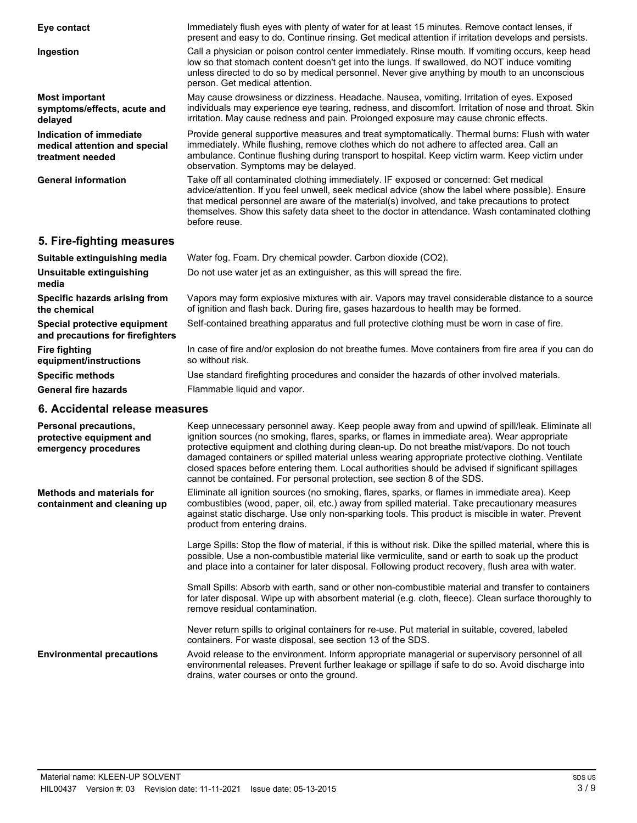| Eye contact                                                                  | Immediately flush eyes with plenty of water for at least 15 minutes. Remove contact lenses, if<br>present and easy to do. Continue rinsing. Get medical attention if irritation develops and persists.                                                                                                                                                                                                         |
|------------------------------------------------------------------------------|----------------------------------------------------------------------------------------------------------------------------------------------------------------------------------------------------------------------------------------------------------------------------------------------------------------------------------------------------------------------------------------------------------------|
| Ingestion                                                                    | Call a physician or poison control center immediately. Rinse mouth. If vomiting occurs, keep head<br>low so that stomach content doesn't get into the lungs. If swallowed, do NOT induce vomiting<br>unless directed to do so by medical personnel. Never give anything by mouth to an unconscious<br>person. Get medical attention.                                                                           |
| <b>Most important</b><br>symptoms/effects, acute and<br>delayed              | May cause drowsiness or dizziness. Headache. Nausea, vomiting. Irritation of eyes. Exposed<br>individuals may experience eye tearing, redness, and discomfort. Irritation of nose and throat. Skin<br>irritation. May cause redness and pain. Prolonged exposure may cause chronic effects.                                                                                                                    |
| Indication of immediate<br>medical attention and special<br>treatment needed | Provide general supportive measures and treat symptomatically. Thermal burns: Flush with water<br>immediately. While flushing, remove clothes which do not adhere to affected area. Call an<br>ambulance. Continue flushing during transport to hospital. Keep victim warm. Keep victim under<br>observation. Symptoms may be delayed.                                                                         |
| <b>General information</b>                                                   | Take off all contaminated clothing immediately. IF exposed or concerned: Get medical<br>advice/attention. If you feel unwell, seek medical advice (show the label where possible). Ensure<br>that medical personnel are aware of the material(s) involved, and take precautions to protect<br>themselves. Show this safety data sheet to the doctor in attendance. Wash contaminated clothing<br>before reuse. |

# **5. Fire-fighting measures**

| Suitable extinguishing media                                     | Water fog. Foam. Dry chemical powder. Carbon dioxide (CO2).                                                                                                                           |
|------------------------------------------------------------------|---------------------------------------------------------------------------------------------------------------------------------------------------------------------------------------|
| Unsuitable extinguishing<br>media                                | Do not use water jet as an extinguisher, as this will spread the fire.                                                                                                                |
| Specific hazards arising from<br>the chemical                    | Vapors may form explosive mixtures with air. Vapors may travel considerable distance to a source<br>of ignition and flash back. During fire, gases hazardous to health may be formed. |
| Special protective equipment<br>and precautions for firefighters | Self-contained breathing apparatus and full protective clothing must be worn in case of fire.                                                                                         |
| <b>Fire fighting</b><br>equipment/instructions                   | In case of fire and/or explosion do not breathe fumes. Move containers from fire area if you can do<br>so without risk.                                                               |
| <b>Specific methods</b>                                          | Use standard firefighting procedures and consider the hazards of other involved materials.                                                                                            |
| <b>General fire hazards</b>                                      | Flammable liquid and vapor.                                                                                                                                                           |

# **6. Accidental release measures**

| Personal precautions,<br>protective equipment and<br>emergency procedures | Keep unnecessary personnel away. Keep people away from and upwind of spill/leak. Eliminate all<br>ignition sources (no smoking, flares, sparks, or flames in immediate area). Wear appropriate<br>protective equipment and clothing during clean-up. Do not breathe mist/vapors. Do not touch<br>damaged containers or spilled material unless wearing appropriate protective clothing. Ventilate<br>closed spaces before entering them. Local authorities should be advised if significant spillages<br>cannot be contained. For personal protection, see section 8 of the SDS. |
|---------------------------------------------------------------------------|----------------------------------------------------------------------------------------------------------------------------------------------------------------------------------------------------------------------------------------------------------------------------------------------------------------------------------------------------------------------------------------------------------------------------------------------------------------------------------------------------------------------------------------------------------------------------------|
| <b>Methods and materials for</b><br>containment and cleaning up           | Eliminate all ignition sources (no smoking, flares, sparks, or flames in immediate area). Keep<br>combustibles (wood, paper, oil, etc.) away from spilled material. Take precautionary measures<br>against static discharge. Use only non-sparking tools. This product is miscible in water. Prevent<br>product from entering drains.                                                                                                                                                                                                                                            |
|                                                                           | Large Spills: Stop the flow of material, if this is without risk. Dike the spilled material, where this is<br>possible. Use a non-combustible material like vermiculite, sand or earth to soak up the product<br>and place into a container for later disposal. Following product recovery, flush area with water.                                                                                                                                                                                                                                                               |
|                                                                           | Small Spills: Absorb with earth, sand or other non-combustible material and transfer to containers<br>for later disposal. Wipe up with absorbent material (e.g. cloth, fleece). Clean surface thoroughly to<br>remove residual contamination.                                                                                                                                                                                                                                                                                                                                    |
|                                                                           | Never return spills to original containers for re-use. Put material in suitable, covered, labeled<br>containers. For waste disposal, see section 13 of the SDS.                                                                                                                                                                                                                                                                                                                                                                                                                  |
| <b>Environmental precautions</b>                                          | Avoid release to the environment. Inform appropriate managerial or supervisory personnel of all<br>environmental releases. Prevent further leakage or spillage if safe to do so. Avoid discharge into<br>drains, water courses or onto the ground.                                                                                                                                                                                                                                                                                                                               |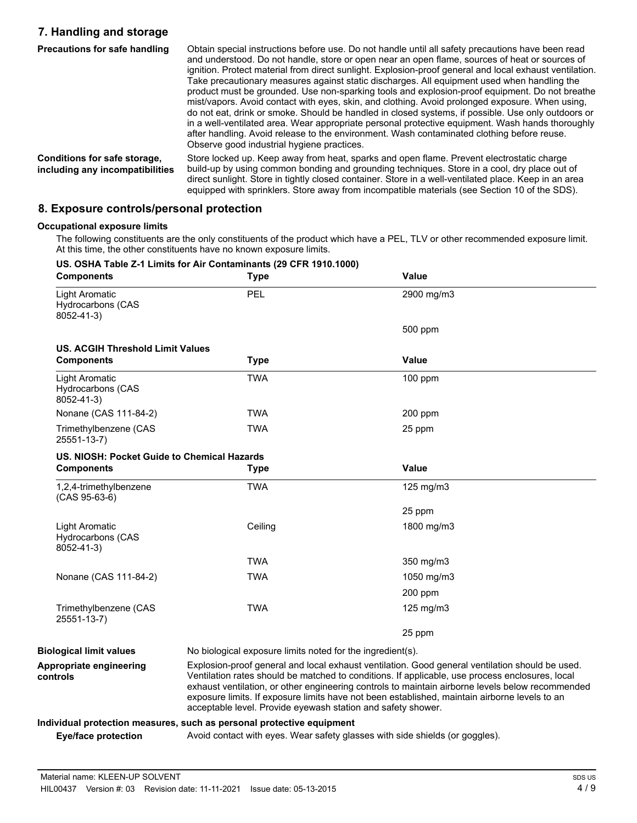# **7. Handling and storage**

| <b>Precautions for safe handling</b>                            | Obtain special instructions before use. Do not handle until all safety precautions have been read<br>and understood. Do not handle, store or open near an open flame, sources of heat or sources of<br>ignition. Protect material from direct sunlight. Explosion-proof general and local exhaust ventilation.<br>Take precautionary measures against static discharges. All equipment used when handling the<br>product must be grounded. Use non-sparking tools and explosion-proof equipment. Do not breathe<br>mist/vapors. Avoid contact with eyes, skin, and clothing. Avoid prolonged exposure. When using,<br>do not eat, drink or smoke. Should be handled in closed systems, if possible. Use only outdoors or<br>in a well-ventilated area. Wear appropriate personal protective equipment. Wash hands thoroughly<br>after handling. Avoid release to the environment. Wash contaminated clothing before reuse.<br>Observe good industrial hygiene practices. |
|-----------------------------------------------------------------|--------------------------------------------------------------------------------------------------------------------------------------------------------------------------------------------------------------------------------------------------------------------------------------------------------------------------------------------------------------------------------------------------------------------------------------------------------------------------------------------------------------------------------------------------------------------------------------------------------------------------------------------------------------------------------------------------------------------------------------------------------------------------------------------------------------------------------------------------------------------------------------------------------------------------------------------------------------------------|
| Conditions for safe storage,<br>including any incompatibilities | Store locked up. Keep away from heat, sparks and open flame. Prevent electrostatic charge<br>build-up by using common bonding and grounding techniques. Store in a cool, dry place out of<br>direct sunlight. Store in tightly closed container. Store in a well-ventilated place. Keep in an area<br>equipped with sprinklers. Store away from incompatible materials (see Section 10 of the SDS).                                                                                                                                                                                                                                                                                                                                                                                                                                                                                                                                                                      |

#### **8. Exposure controls/personal protection**

#### **Occupational exposure limits**

The following constituents are the only constituents of the product which have a PEL, TLV or other recommended exposure limit. At this time, the other constituents have no known exposure limits.

#### **US. OSHA Table Z-1 Limits for Air Contaminants (29 CFR 1910.1000) Components Type Value** Light Aromatic PEL 2900 mg/m3 Hydrocarbons (CAS 8052-41-3) 500 ppm **US. ACGIH Threshold Limit Values Components Type Value** Light Aromatic TWA 100 ppm Hydrocarbons (CAS 8052-41-3) Nonane (CAS 111-84-2) TWA 200 ppm Trimethylbenzene (CAS TWA 25 ppm 25551-13-7) **US. NIOSH: Pocket Guide to Chemical Hazards Components Type Value** 1,2,4-trimethylbenzene TWA 125 mg/m3 (CAS 95-63-6) 25 ppm Light Aromatic **Ceiling** 1800 mg/m3 Hydrocarbons (CAS 8052-41-3) TWA 350 mg/m3 Nonane (CAS 111-84-2) TWA 1050 mg/m3 200 ppm Trimethylbenzene (CAS TWA TWA 125 mg/m3 25551-13-7) 25 ppm **Biological limit values** No biological exposure limits noted for the ingredient(s). Explosion-proof general and local exhaust ventilation. Good general ventilation should be used. Ventilation rates should be matched to conditions. If applicable, use process enclosures, local exhaust ventilation, or other engineering controls to maintain airborne levels below recommended exposure limits. If exposure limits have not been established, maintain airborne levels to an acceptable level. Provide eyewash station and safety shower. **Appropriate engineering controls Individual protection measures, such as personal protective equipment Eye/face protection** Avoid contact with eyes. Wear safety glasses with side shields (or goggles).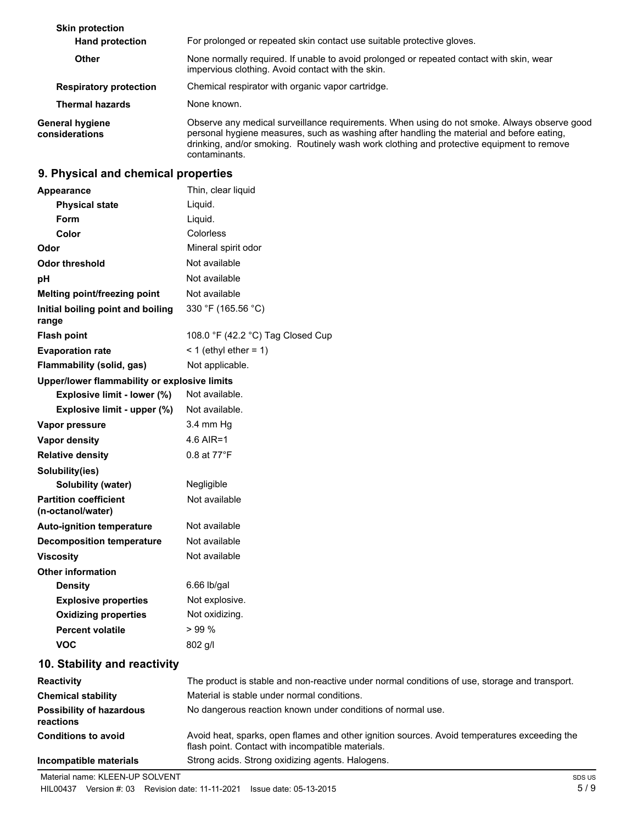| <b>Skin protection</b><br><b>Hand protection</b> | For prolonged or repeated skin contact use suitable protective gloves.                                                                                                                                                                                                                                 |
|--------------------------------------------------|--------------------------------------------------------------------------------------------------------------------------------------------------------------------------------------------------------------------------------------------------------------------------------------------------------|
| <b>Other</b>                                     | None normally required. If unable to avoid prolonged or repeated contact with skin, wear<br>impervious clothing. Avoid contact with the skin.                                                                                                                                                          |
| <b>Respiratory protection</b>                    | Chemical respirator with organic vapor cartridge.                                                                                                                                                                                                                                                      |
| <b>Thermal hazards</b>                           | None known.                                                                                                                                                                                                                                                                                            |
| <b>General hygiene</b><br>considerations         | Observe any medical surveillance requirements. When using do not smoke. Always observe good<br>personal hygiene measures, such as washing after handling the material and before eating,<br>drinking, and/or smoking. Routinely wash work clothing and protective equipment to remove<br>contaminants. |

# **9. Physical and chemical properties**

| <b>Appearance</b>                                 | Thin, clear liquid                                                                            |
|---------------------------------------------------|-----------------------------------------------------------------------------------------------|
| <b>Physical state</b>                             | Liquid.                                                                                       |
| Form                                              | Liquid.                                                                                       |
| Color                                             | Colorless                                                                                     |
| Odor                                              | Mineral spirit odor                                                                           |
| <b>Odor threshold</b>                             | Not available                                                                                 |
| pH                                                | Not available                                                                                 |
| Melting point/freezing point                      | Not available                                                                                 |
| Initial boiling point and boiling<br>range        | 330 °F (165.56 °C)                                                                            |
| <b>Flash point</b>                                | 108.0 °F (42.2 °C) Tag Closed Cup                                                             |
| <b>Evaporation rate</b>                           | $<$ 1 (ethyl ether = 1)                                                                       |
| Flammability (solid, gas)                         | Not applicable.                                                                               |
| Upper/lower flammability or explosive limits      |                                                                                               |
| Explosive limit - lower (%)                       | Not available.                                                                                |
| Explosive limit - upper (%)                       | Not available.                                                                                |
| Vapor pressure                                    | 3.4 mm Hq                                                                                     |
| Vapor density                                     | 4.6 AIR=1                                                                                     |
| <b>Relative density</b>                           | 0.8 at 77°F                                                                                   |
| Solubility(ies)                                   |                                                                                               |
| <b>Solubility (water)</b>                         | Negligible                                                                                    |
| <b>Partition coefficient</b><br>(n-octanol/water) | Not available                                                                                 |
| <b>Auto-ignition temperature</b>                  | Not available                                                                                 |
| <b>Decomposition temperature</b>                  | Not available                                                                                 |
| <b>Viscosity</b>                                  | Not available                                                                                 |
| <b>Other information</b>                          |                                                                                               |
| <b>Density</b>                                    | $6.66$ lb/gal                                                                                 |
| <b>Explosive properties</b>                       | Not explosive.                                                                                |
| <b>Oxidizing properties</b>                       | Not oxidizing.                                                                                |
| <b>Percent volatile</b>                           | >99%                                                                                          |
| <b>VOC</b>                                        | 802 g/l                                                                                       |
| 10. Stability and reactivity                      |                                                                                               |
| <b>Reactivity</b>                                 | The product is stable and non-reactive under normal conditions of use, storage and transport. |
| <b>Chemical stability</b>                         | Material is stable under normal conditions.                                                   |
| <b>Possibility of hazardous</b><br>reactions      | No dangerous reaction known under conditions of normal use.                                   |

| <b>Conditions to avoid</b> | Avoid heat, sparks, open flames and other ignition sources. Avoid temperatures exceeding the<br>flash point. Contact with incompatible materials. |
|----------------------------|---------------------------------------------------------------------------------------------------------------------------------------------------|
| Incompatible materials     | Strong acids. Strong oxidizing agents. Halogens.                                                                                                  |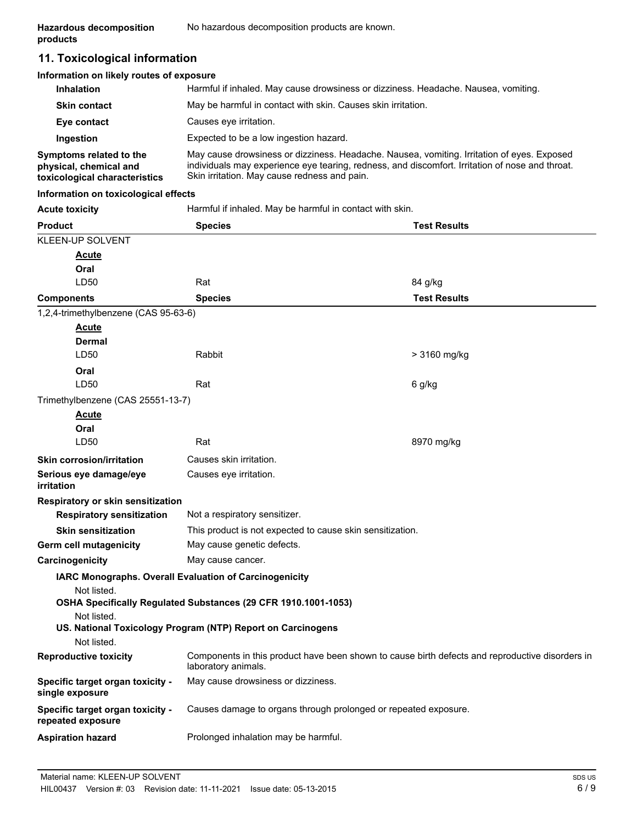# **11. Toxicological information**

#### **Information on likely routes of exposure**

| <b>Inhalation</b>                                                                  | Harmful if inhaled. May cause drowsiness or dizziness. Headache. Nausea, vomiting.                                                                                                                                                            |
|------------------------------------------------------------------------------------|-----------------------------------------------------------------------------------------------------------------------------------------------------------------------------------------------------------------------------------------------|
| <b>Skin contact</b>                                                                | May be harmful in contact with skin. Causes skin irritation.                                                                                                                                                                                  |
| Eye contact                                                                        | Causes eye irritation.                                                                                                                                                                                                                        |
| Ingestion                                                                          | Expected to be a low ingestion hazard.                                                                                                                                                                                                        |
| Symptoms related to the<br>physical, chemical and<br>toxicological characteristics | May cause drowsiness or dizziness. Headache. Nausea, vomiting. Irritation of eyes. Exposed<br>individuals may experience eye tearing, redness, and discomfort. Irritation of nose and throat.<br>Skin irritation. May cause redness and pain. |

#### **Information on toxicological effects**

| <b>Acute toxicity</b>                                 | Harmful if inhaled. May be harmful in contact with skin.                                                               |                     |  |
|-------------------------------------------------------|------------------------------------------------------------------------------------------------------------------------|---------------------|--|
| <b>Product</b>                                        | <b>Species</b>                                                                                                         | <b>Test Results</b> |  |
| KLEEN-UP SOLVENT                                      |                                                                                                                        |                     |  |
| <u>Acute</u>                                          |                                                                                                                        |                     |  |
| Oral                                                  |                                                                                                                        |                     |  |
| LD50                                                  | Rat                                                                                                                    | 84 g/kg             |  |
| <b>Components</b>                                     | <b>Species</b>                                                                                                         | <b>Test Results</b> |  |
| 1,2,4-trimethylbenzene (CAS 95-63-6)                  |                                                                                                                        |                     |  |
| <b>Acute</b>                                          |                                                                                                                        |                     |  |
| Dermal                                                |                                                                                                                        |                     |  |
| LD50                                                  | <b>Rabbit</b>                                                                                                          | > 3160 mg/kg        |  |
| Oral                                                  |                                                                                                                        |                     |  |
| LD50                                                  | Rat                                                                                                                    | 6 g/kg              |  |
| Trimethylbenzene (CAS 25551-13-7)                     |                                                                                                                        |                     |  |
| <b>Acute</b>                                          |                                                                                                                        |                     |  |
| Oral                                                  |                                                                                                                        |                     |  |
| LD50                                                  | Rat                                                                                                                    | 8970 mg/kg          |  |
| <b>Skin corrosion/irritation</b>                      | Causes skin irritation.                                                                                                |                     |  |
| Serious eye damage/eye<br>irritation                  | Causes eye irritation.                                                                                                 |                     |  |
| Respiratory or skin sensitization                     |                                                                                                                        |                     |  |
| <b>Respiratory sensitization</b>                      | Not a respiratory sensitizer.                                                                                          |                     |  |
| <b>Skin sensitization</b>                             | This product is not expected to cause skin sensitization.                                                              |                     |  |
| Germ cell mutagenicity                                | May cause genetic defects.                                                                                             |                     |  |
| Carcinogenicity                                       | May cause cancer.                                                                                                      |                     |  |
|                                                       | IARC Monographs. Overall Evaluation of Carcinogenicity                                                                 |                     |  |
| Not listed.                                           |                                                                                                                        |                     |  |
|                                                       | OSHA Specifically Regulated Substances (29 CFR 1910.1001-1053)                                                         |                     |  |
| Not listed.                                           |                                                                                                                        |                     |  |
|                                                       | US. National Toxicology Program (NTP) Report on Carcinogens                                                            |                     |  |
| Not listed.                                           |                                                                                                                        |                     |  |
| <b>Reproductive toxicity</b>                          | Components in this product have been shown to cause birth defects and reproductive disorders in<br>laboratory animals. |                     |  |
| Specific target organ toxicity -<br>single exposure   | May cause drowsiness or dizziness.                                                                                     |                     |  |
| Specific target organ toxicity -<br>repeated exposure | Causes damage to organs through prolonged or repeated exposure.                                                        |                     |  |
| <b>Aspiration hazard</b>                              | Prolonged inhalation may be harmful.                                                                                   |                     |  |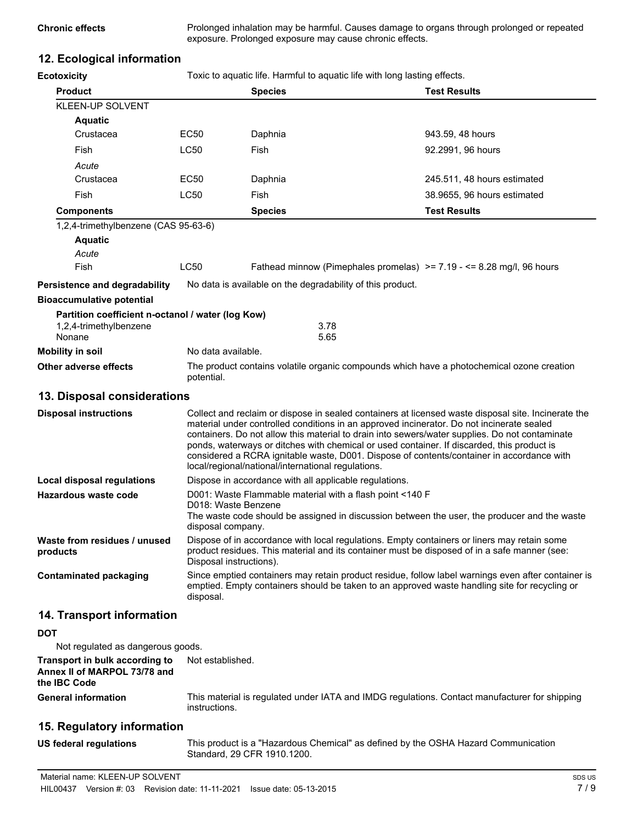**Chronic effects** Prolonged inhalation may be harmful. Causes damage to organs through prolonged or repeated exposure. Prolonged exposure may cause chronic effects.

# **12. Ecological information**

| <b>Ecotoxicity</b>                                | Toxic to aquatic life. Harmful to aquatic life with long lasting effects. |                                                                                 |  |                                                                                                                                                                                                                                                                                                                                                                                                                                                                                               |
|---------------------------------------------------|---------------------------------------------------------------------------|---------------------------------------------------------------------------------|--|-----------------------------------------------------------------------------------------------------------------------------------------------------------------------------------------------------------------------------------------------------------------------------------------------------------------------------------------------------------------------------------------------------------------------------------------------------------------------------------------------|
| <b>Product</b>                                    |                                                                           | <b>Species</b>                                                                  |  | <b>Test Results</b>                                                                                                                                                                                                                                                                                                                                                                                                                                                                           |
| KLEEN-UP SOLVENT                                  |                                                                           |                                                                                 |  |                                                                                                                                                                                                                                                                                                                                                                                                                                                                                               |
| <b>Aquatic</b>                                    |                                                                           |                                                                                 |  |                                                                                                                                                                                                                                                                                                                                                                                                                                                                                               |
| Crustacea                                         | EC50                                                                      | Daphnia                                                                         |  | 943.59, 48 hours                                                                                                                                                                                                                                                                                                                                                                                                                                                                              |
| Fish                                              | <b>LC50</b>                                                               | Fish                                                                            |  | 92.2991, 96 hours                                                                                                                                                                                                                                                                                                                                                                                                                                                                             |
| Acute                                             |                                                                           |                                                                                 |  |                                                                                                                                                                                                                                                                                                                                                                                                                                                                                               |
| Crustacea                                         | EC50                                                                      | Daphnia                                                                         |  | 245.511, 48 hours estimated                                                                                                                                                                                                                                                                                                                                                                                                                                                                   |
| Fish                                              | <b>LC50</b>                                                               | Fish                                                                            |  | 38.9655, 96 hours estimated                                                                                                                                                                                                                                                                                                                                                                                                                                                                   |
| <b>Components</b>                                 |                                                                           | <b>Species</b>                                                                  |  | <b>Test Results</b>                                                                                                                                                                                                                                                                                                                                                                                                                                                                           |
| 1,2,4-trimethylbenzene (CAS 95-63-6)              |                                                                           |                                                                                 |  |                                                                                                                                                                                                                                                                                                                                                                                                                                                                                               |
| <b>Aquatic</b>                                    |                                                                           |                                                                                 |  |                                                                                                                                                                                                                                                                                                                                                                                                                                                                                               |
| Acute                                             |                                                                           |                                                                                 |  |                                                                                                                                                                                                                                                                                                                                                                                                                                                                                               |
| Fish                                              | <b>LC50</b>                                                               |                                                                                 |  | Fathead minnow (Pimephales promelas) $\ge$ = 7.19 - <= 8.28 mg/l, 96 hours                                                                                                                                                                                                                                                                                                                                                                                                                    |
| <b>Persistence and degradability</b>              |                                                                           | No data is available on the degradability of this product.                      |  |                                                                                                                                                                                                                                                                                                                                                                                                                                                                                               |
| <b>Bioaccumulative potential</b>                  |                                                                           |                                                                                 |  |                                                                                                                                                                                                                                                                                                                                                                                                                                                                                               |
| Partition coefficient n-octanol / water (log Kow) |                                                                           |                                                                                 |  |                                                                                                                                                                                                                                                                                                                                                                                                                                                                                               |
| 1,2,4-trimethylbenzene                            |                                                                           | 3.78                                                                            |  |                                                                                                                                                                                                                                                                                                                                                                                                                                                                                               |
| Nonane                                            |                                                                           | 5.65                                                                            |  |                                                                                                                                                                                                                                                                                                                                                                                                                                                                                               |
| <b>Mobility in soil</b>                           | No data available.                                                        |                                                                                 |  |                                                                                                                                                                                                                                                                                                                                                                                                                                                                                               |
| Other adverse effects                             | potential.                                                                |                                                                                 |  | The product contains volatile organic compounds which have a photochemical ozone creation                                                                                                                                                                                                                                                                                                                                                                                                     |
| 13. Disposal considerations                       |                                                                           |                                                                                 |  |                                                                                                                                                                                                                                                                                                                                                                                                                                                                                               |
| <b>Disposal instructions</b>                      |                                                                           | local/regional/national/international regulations.                              |  | Collect and reclaim or dispose in sealed containers at licensed waste disposal site. Incinerate the<br>material under controlled conditions in an approved incinerator. Do not incinerate sealed<br>containers. Do not allow this material to drain into sewers/water supplies. Do not contaminate<br>ponds, waterways or ditches with chemical or used container. If discarded, this product is<br>considered a RCRA ignitable waste, D001. Dispose of contents/container in accordance with |
| <b>Local disposal regulations</b>                 | Dispose in accordance with all applicable regulations.                    |                                                                                 |  |                                                                                                                                                                                                                                                                                                                                                                                                                                                                                               |
| Hazardous waste code                              |                                                                           | D001: Waste Flammable material with a flash point <140 F<br>D018: Waste Benzene |  |                                                                                                                                                                                                                                                                                                                                                                                                                                                                                               |
|                                                   | disposal company.                                                         |                                                                                 |  | The waste code should be assigned in discussion between the user, the producer and the waste                                                                                                                                                                                                                                                                                                                                                                                                  |
| Waste from residues / unused<br>products          |                                                                           | Disposal instructions).                                                         |  | Dispose of in accordance with local regulations. Empty containers or liners may retain some<br>product residues. This material and its container must be disposed of in a safe manner (see:                                                                                                                                                                                                                                                                                                   |
| <b>Contaminated packaging</b>                     | disposal.                                                                 |                                                                                 |  | Since emptied containers may retain product residue, follow label warnings even after container is<br>emptied. Empty containers should be taken to an approved waste handling site for recycling or                                                                                                                                                                                                                                                                                           |
| 14. Transport information                         |                                                                           |                                                                                 |  |                                                                                                                                                                                                                                                                                                                                                                                                                                                                                               |

#### **DOT**

Not regulated as dangerous goods.

#### **Transport in bulk according to** Not established. **Annex II of MARPOL 73/78 and the IBC Code General information**

This material is regulated under IATA and IMDG regulations. Contact manufacturer for shipping instructions.

# **15. Regulatory information**

**US federal regulations**

This product is a "Hazardous Chemical" as defined by the OSHA Hazard Communication Standard, 29 CFR 1910.1200.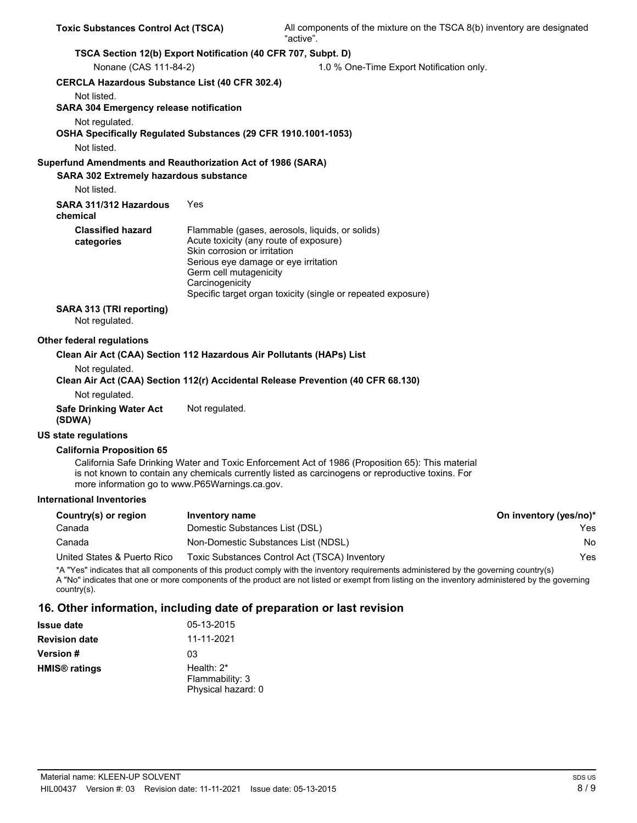| <b>Toxic Substances Control Act (TSCA)</b>                                       |                                                                                                                                                             | All components of the mixture on the TSCA 8(b) inventory are designated<br>"active".                                                                                                                                                                                                       |                        |
|----------------------------------------------------------------------------------|-------------------------------------------------------------------------------------------------------------------------------------------------------------|--------------------------------------------------------------------------------------------------------------------------------------------------------------------------------------------------------------------------------------------------------------------------------------------|------------------------|
| TSCA Section 12(b) Export Notification (40 CFR 707, Subpt. D)                    |                                                                                                                                                             |                                                                                                                                                                                                                                                                                            |                        |
| Nonane (CAS 111-84-2)                                                            |                                                                                                                                                             | 1.0 % One-Time Export Notification only.                                                                                                                                                                                                                                                   |                        |
| <b>CERCLA Hazardous Substance List (40 CFR 302.4)</b>                            |                                                                                                                                                             |                                                                                                                                                                                                                                                                                            |                        |
| Not listed.<br><b>SARA 304 Emergency release notification</b>                    |                                                                                                                                                             |                                                                                                                                                                                                                                                                                            |                        |
| Not regulated.<br>OSHA Specifically Regulated Substances (29 CFR 1910.1001-1053) |                                                                                                                                                             |                                                                                                                                                                                                                                                                                            |                        |
| Not listed.                                                                      |                                                                                                                                                             |                                                                                                                                                                                                                                                                                            |                        |
| Superfund Amendments and Reauthorization Act of 1986 (SARA)                      |                                                                                                                                                             |                                                                                                                                                                                                                                                                                            |                        |
| <b>SARA 302 Extremely hazardous substance</b><br>Not listed.                     |                                                                                                                                                             |                                                                                                                                                                                                                                                                                            |                        |
| SARA 311/312 Hazardous<br>chemical                                               | Yes                                                                                                                                                         |                                                                                                                                                                                                                                                                                            |                        |
| <b>Classified hazard</b><br>categories                                           | Acute toxicity (any route of exposure)<br>Skin corrosion or irritation<br>Serious eye damage or eye irritation<br>Germ cell mutagenicity<br>Carcinogenicity | Flammable (gases, aerosols, liquids, or solids)<br>Specific target organ toxicity (single or repeated exposure)                                                                                                                                                                            |                        |
| SARA 313 (TRI reporting)<br>Not regulated.                                       |                                                                                                                                                             |                                                                                                                                                                                                                                                                                            |                        |
| Other federal regulations                                                        |                                                                                                                                                             |                                                                                                                                                                                                                                                                                            |                        |
| Clean Air Act (CAA) Section 112 Hazardous Air Pollutants (HAPs) List             |                                                                                                                                                             |                                                                                                                                                                                                                                                                                            |                        |
| Not regulated.                                                                   |                                                                                                                                                             |                                                                                                                                                                                                                                                                                            |                        |
|                                                                                  |                                                                                                                                                             | Clean Air Act (CAA) Section 112(r) Accidental Release Prevention (40 CFR 68.130)                                                                                                                                                                                                           |                        |
| Not regulated.                                                                   |                                                                                                                                                             |                                                                                                                                                                                                                                                                                            |                        |
| <b>Safe Drinking Water Act</b><br>(SDWA)                                         | Not regulated.                                                                                                                                              |                                                                                                                                                                                                                                                                                            |                        |
| US state regulations                                                             |                                                                                                                                                             |                                                                                                                                                                                                                                                                                            |                        |
| <b>California Proposition 65</b>                                                 |                                                                                                                                                             |                                                                                                                                                                                                                                                                                            |                        |
| more information go to www.P65Warnings.ca.gov.                                   |                                                                                                                                                             | California Safe Drinking Water and Toxic Enforcement Act of 1986 (Proposition 65): This material<br>is not known to contain any chemicals currently listed as carcinogens or reproductive toxins. For                                                                                      |                        |
| <b>International Inventories</b>                                                 |                                                                                                                                                             |                                                                                                                                                                                                                                                                                            |                        |
| Country(s) or region                                                             | <b>Inventory name</b>                                                                                                                                       |                                                                                                                                                                                                                                                                                            | On inventory (yes/no)* |
| Canada                                                                           | Domestic Substances List (DSL)                                                                                                                              |                                                                                                                                                                                                                                                                                            | Yes                    |
| Canada                                                                           | Non-Domestic Substances List (NDSL)                                                                                                                         |                                                                                                                                                                                                                                                                                            | No                     |
| United States & Puerto Rico                                                      |                                                                                                                                                             | Toxic Substances Control Act (TSCA) Inventory                                                                                                                                                                                                                                              | Yes                    |
| country(s).                                                                      |                                                                                                                                                             | *A "Yes" indicates that all components of this product comply with the inventory requirements administered by the governing country(s)<br>A "No" indicates that one or more components of the product are not listed or exempt from listing on the inventory administered by the governing |                        |

# **16. Other information, including date of preparation or last revision**

| <b>Issue date</b>               | 05-13-2015                                             |
|---------------------------------|--------------------------------------------------------|
| <b>Revision date</b>            | 11-11-2021                                             |
| <b>Version #</b>                | 03                                                     |
| <b>HMIS<sup>®</sup></b> ratings | Health: $2^*$<br>Flammability: 3<br>Physical hazard: 0 |